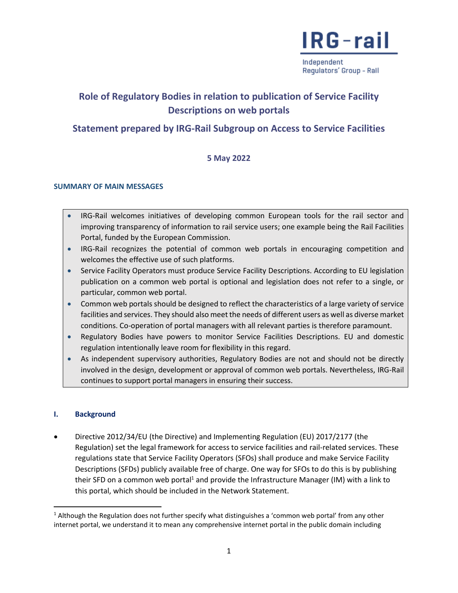

Independent Regulators' Group - Rail

### **Role of Regulatory Bodies in relation to publication of Service Facility Descriptions on web portals**

### **Statement prepared by IRG-Rail Subgroup on Access to Service Facilities**

### **5 May 2022**

### **SUMMARY OF MAIN MESSAGES**

- IRG-Rail welcomes initiatives of developing common European tools for the rail sector and improving transparency of information to rail service users; one example being the Rail Facilities Portal, funded by the European Commission.
- IRG-Rail recognizes the potential of common web portals in encouraging competition and welcomes the effective use of such platforms.
- Service Facility Operators must produce Service Facility Descriptions. According to EU legislation publication on a common web portal is optional and legislation does not refer to a single, or particular, common web portal.
- Common web portals should be designed to reflect the characteristics of a large variety of service facilities and services. They should also meet the needs of different users as well as diverse market conditions. Co-operation of portal managers with all relevant parties is therefore paramount.
- Regulatory Bodies have powers to monitor Service Facilities Descriptions. EU and domestic regulation intentionally leave room for flexibility in this regard.
- As independent supervisory authorities, Regulatory Bodies are not and should not be directly involved in the design, development or approval of common web portals. Nevertheless, IRG-Rail continues to support portal managers in ensuring their success.

### **I. Background**

 $\overline{\phantom{a}}$ 

 Directive 2012/34/EU (the Directive) and Implementing Regulation (EU) 2017/2177 (the Regulation) set the legal framework for access to service facilities and rail-related services. These regulations state that Service Facility Operators (SFOs) shall produce and make Service Facility Descriptions (SFDs) publicly available free of charge. One way for SFOs to do this is by publishing their SFD on a common web portal<sup>1</sup> and provide the Infrastructure Manager (IM) with a link to this portal, which should be included in the Network Statement.

 $1$  Although the Regulation does not further specify what distinguishes a 'common web portal' from any other internet portal, we understand it to mean any comprehensive internet portal in the public domain including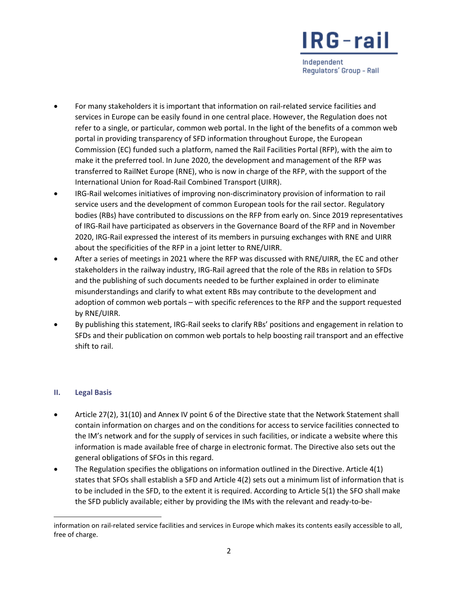Independent Regulators' Group - Rall

- For many stakeholders it is important that information on rail-related service facilities and services in Europe can be easily found in one central place. However, the Regulation does not refer to a single, or particular, common web portal. In the light of the benefits of a common web portal in providing transparency of SFD information throughout Europe, the European Commission (EC) funded such a platform, named the Rail Facilities Portal (RFP), with the aim to make it the preferred tool. In June 2020, the development and management of the RFP was transferred to RailNet Europe (RNE), who is now in charge of the RFP, with the support of the International Union for Road-Rail Combined Transport (UIRR).
- IRG-Rail welcomes initiatives of improving non-discriminatory provision of information to rail service users and the development of common European tools for the rail sector. Regulatory bodies (RBs) have contributed to discussions on the RFP from early on. Since 2019 representatives of IRG-Rail have participated as observers in the Governance Board of the RFP and in November 2020, IRG-Rail expressed the interest of its members in pursuing exchanges with RNE and UIRR about the specificities of the RFP in a joint letter to RNE/UIRR.
- After a series of meetings in 2021 where the RFP was discussed with RNE/UIRR, the EC and other stakeholders in the railway industry, IRG-Rail agreed that the role of the RBs in relation to SFDs and the publishing of such documents needed to be further explained in order to eliminate misunderstandings and clarify to what extent RBs may contribute to the development and adoption of common web portals – with specific references to the RFP and the support requested by RNE/UIRR.
- By publishing this statement, IRG-Rail seeks to clarify RBs' positions and engagement in relation to SFDs and their publication on common web portals to help boosting rail transport and an effective shift to rail.

### **II. Legal Basis**

 $\overline{\phantom{a}}$ 

- Article 27(2), 31(10) and Annex IV point 6 of the Directive state that the Network Statement shall contain information on charges and on the conditions for access to service facilities connected to the IM's network and for the supply of services in such facilities, or indicate a website where this information is made available free of charge in electronic format. The Directive also sets out the general obligations of SFOs in this regard.
- The Regulation specifies the obligations on information outlined in the Directive. Article 4(1) states that SFOs shall establish a SFD and Article 4(2) sets out a minimum list of information that is to be included in the SFD, to the extent it is required. According to Article 5(1) the SFO shall make the SFD publicly available; either by providing the IMs with the relevant and ready-to-be-

information on rail-related service facilities and services in Europe which makes its contents easily accessible to all, free of charge.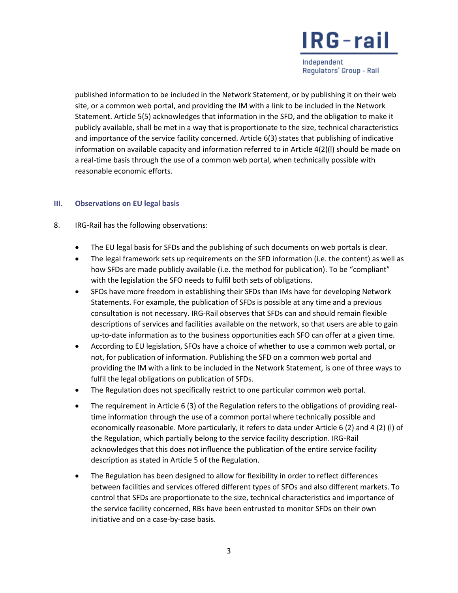Independent Regulators' Group - Rail

published information to be included in the Network Statement, or by publishing it on their web site, or a common web portal, and providing the IM with a link to be included in the Network Statement. Article 5(5) acknowledges that information in the SFD, and the obligation to make it publicly available, shall be met in a way that is proportionate to the size, technical characteristics and importance of the service facility concerned. Article 6(3) states that publishing of indicative information on available capacity and information referred to in Article 4(2)(l) should be made on a real-time basis through the use of a common web portal, when technically possible with reasonable economic efforts.

### **III. Observations on EU legal basis**

- 8. IRG-Rail has the following observations:
	- The EU legal basis for SFDs and the publishing of such documents on web portals is clear.
	- The legal framework sets up requirements on the SFD information (i.e. the content) as well as how SFDs are made publicly available (i.e. the method for publication). To be "compliant" with the legislation the SFO needs to fulfil both sets of obligations.
	- SFOs have more freedom in establishing their SFDs than IMs have for developing Network Statements. For example, the publication of SFDs is possible at any time and a previous consultation is not necessary. IRG-Rail observes that SFDs can and should remain flexible descriptions of services and facilities available on the network, so that users are able to gain up-to-date information as to the business opportunities each SFO can offer at a given time.
	- According to EU legislation, SFOs have a choice of whether to use a common web portal, or not, for publication of information. Publishing the SFD on a common web portal and providing the IM with a link to be included in the Network Statement, is one of three ways to fulfil the legal obligations on publication of SFDs.
	- The Regulation does not specifically restrict to one particular common web portal.
	- The requirement in Article 6 (3) of the Regulation refers to the obligations of providing realtime information through the use of a common portal where technically possible and economically reasonable. More particularly, it refers to data under Article 6 (2) and 4 (2) (l) of the Regulation, which partially belong to the service facility description. IRG-Rail acknowledges that this does not influence the publication of the entire service facility description as stated in Article 5 of the Regulation.
	- The Regulation has been designed to allow for flexibility in order to reflect differences between facilities and services offered different types of SFOs and also different markets. To control that SFDs are proportionate to the size, technical characteristics and importance of the service facility concerned, RBs have been entrusted to monitor SFDs on their own initiative and on a case-by-case basis.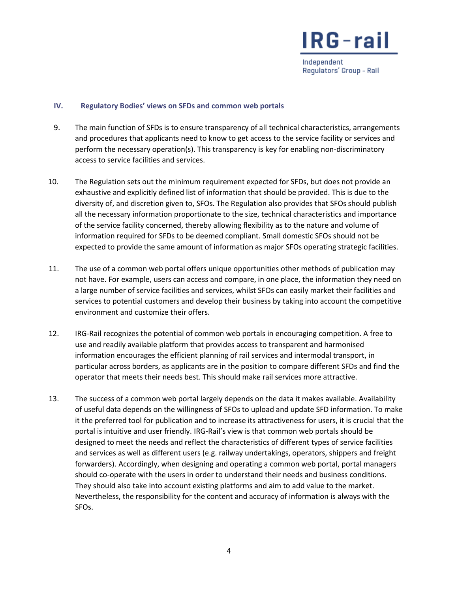

Independent Regulators' Group - Rall

#### **IV. Regulatory Bodies' views on SFDs and common web portals**

- 9. The main function of SFDs is to ensure transparency of all technical characteristics, arrangements and procedures that applicants need to know to get access to the service facility or services and perform the necessary operation(s). This transparency is key for enabling non-discriminatory access to service facilities and services.
- 10. The Regulation sets out the minimum requirement expected for SFDs, but does not provide an exhaustive and explicitly defined list of information that should be provided. This is due to the diversity of, and discretion given to, SFOs. The Regulation also provides that SFOs should publish all the necessary information proportionate to the size, technical characteristics and importance of the service facility concerned, thereby allowing flexibility as to the nature and volume of information required for SFDs to be deemed compliant. Small domestic SFOs should not be expected to provide the same amount of information as major SFOs operating strategic facilities.
- 11. The use of a common web portal offers unique opportunities other methods of publication may not have. For example, users can access and compare, in one place, the information they need on a large number of service facilities and services, whilst SFOs can easily market their facilities and services to potential customers and develop their business by taking into account the competitive environment and customize their offers.
- 12. IRG-Rail recognizes the potential of common web portals in encouraging competition. A free to use and readily available platform that provides access to transparent and harmonised information encourages the efficient planning of rail services and intermodal transport, in particular across borders, as applicants are in the position to compare different SFDs and find the operator that meets their needs best. This should make rail services more attractive.
- 13. The success of a common web portal largely depends on the data it makes available. Availability of useful data depends on the willingness of SFOs to upload and update SFD information. To make it the preferred tool for publication and to increase its attractiveness for users, it is crucial that the portal is intuitive and user friendly. IRG-Rail's view is that common web portals should be designed to meet the needs and reflect the characteristics of different types of service facilities and services as well as different users (e.g. railway undertakings, operators, shippers and freight forwarders). Accordingly, when designing and operating a common web portal, portal managers should co-operate with the users in order to understand their needs and business conditions. They should also take into account existing platforms and aim to add value to the market. Nevertheless, the responsibility for the content and accuracy of information is always with the SFOs.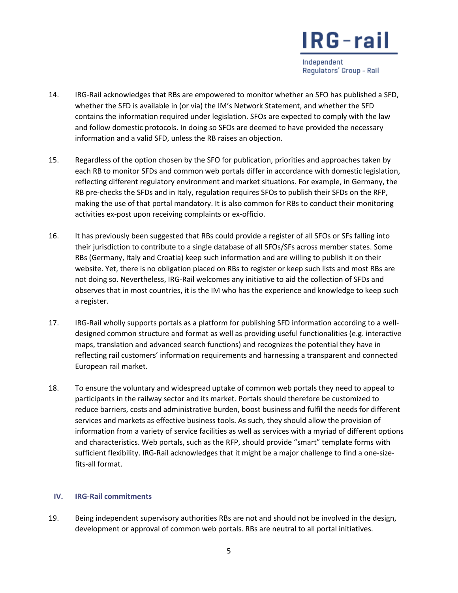Independent Regulators' Group - Rall

- 14. IRG-Rail acknowledges that RBs are empowered to monitor whether an SFO has published a SFD, whether the SFD is available in (or via) the IM's Network Statement, and whether the SFD contains the information required under legislation. SFOs are expected to comply with the law and follow domestic protocols. In doing so SFOs are deemed to have provided the necessary information and a valid SFD, unless the RB raises an objection.
- 15. Regardless of the option chosen by the SFO for publication, priorities and approaches taken by each RB to monitor SFDs and common web portals differ in accordance with domestic legislation, reflecting different regulatory environment and market situations. For example, in Germany, the RB pre-checks the SFDs and in Italy, regulation requires SFOs to publish their SFDs on the RFP, making the use of that portal mandatory. It is also common for RBs to conduct their monitoring activities ex-post upon receiving complaints or ex-officio.
- 16. It has previously been suggested that RBs could provide a register of all SFOs or SFs falling into their jurisdiction to contribute to a single database of all SFOs/SFs across member states. Some RBs (Germany, Italy and Croatia) keep such information and are willing to publish it on their website. Yet, there is no obligation placed on RBs to register or keep such lists and most RBs are not doing so. Nevertheless, IRG-Rail welcomes any initiative to aid the collection of SFDs and observes that in most countries, it is the IM who has the experience and knowledge to keep such a register.
- 17. IRG-Rail wholly supports portals as a platform for publishing SFD information according to a welldesigned common structure and format as well as providing useful functionalities (e.g. interactive maps, translation and advanced search functions) and recognizes the potential they have in reflecting rail customers' information requirements and harnessing a transparent and connected European rail market.
- 18. To ensure the voluntary and widespread uptake of common web portals they need to appeal to participants in the railway sector and its market. Portals should therefore be customized to reduce barriers, costs and administrative burden, boost business and fulfil the needs for different services and markets as effective business tools. As such, they should allow the provision of information from a variety of service facilities as well as services with a myriad of different options and characteristics. Web portals, such as the RFP, should provide "smart" template forms with sufficient flexibility. IRG-Rail acknowledges that it might be a major challenge to find a one-sizefits-all format.

### **IV. IRG-Rail commitments**

19. Being independent supervisory authorities RBs are not and should not be involved in the design, development or approval of common web portals. RBs are neutral to all portal initiatives.